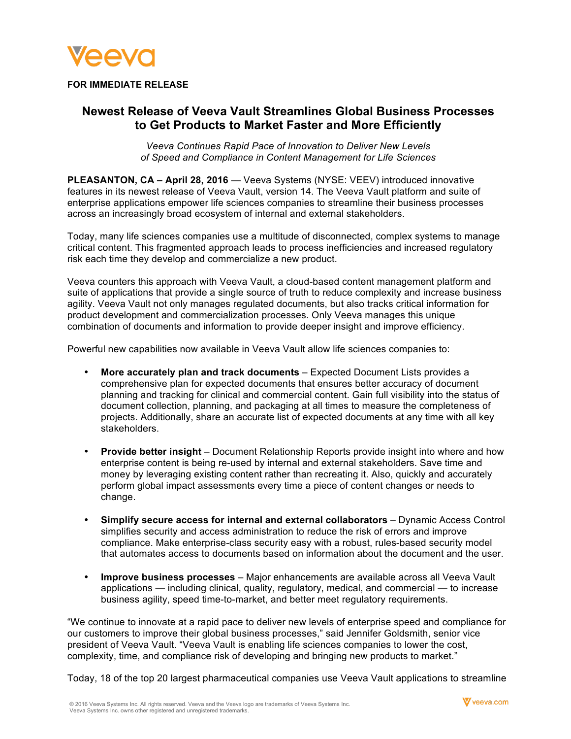

## **FOR IMMEDIATE RELEASE**

# **Newest Release of Veeva Vault Streamlines Global Business Processes to Get Products to Market Faster and More Efficiently**

*Veeva Continues Rapid Pace of Innovation to Deliver New Levels of Speed and Compliance in Content Management for Life Sciences*

**PLEASANTON, CA – April 28, 2016** — Veeva Systems (NYSE: VEEV) introduced innovative features in its newest release of Veeva Vault, version 14. The Veeva Vault platform and suite of enterprise applications empower life sciences companies to streamline their business processes across an increasingly broad ecosystem of internal and external stakeholders.

Today, many life sciences companies use a multitude of disconnected, complex systems to manage critical content. This fragmented approach leads to process inefficiencies and increased regulatory risk each time they develop and commercialize a new product.

Veeva counters this approach with Veeva Vault, a cloud-based content management platform and suite of applications that provide a single source of truth to reduce complexity and increase business agility. Veeva Vault not only manages regulated documents, but also tracks critical information for product development and commercialization processes. Only Veeva manages this unique combination of documents and information to provide deeper insight and improve efficiency.

Powerful new capabilities now available in Veeva Vault allow life sciences companies to:

- **More accurately plan and track documents** Expected Document Lists provides a comprehensive plan for expected documents that ensures better accuracy of document planning and tracking for clinical and commercial content. Gain full visibility into the status of document collection, planning, and packaging at all times to measure the completeness of projects. Additionally, share an accurate list of expected documents at any time with all key stakeholders.
- **Provide better insight** Document Relationship Reports provide insight into where and how enterprise content is being re-used by internal and external stakeholders. Save time and money by leveraging existing content rather than recreating it. Also, quickly and accurately perform global impact assessments every time a piece of content changes or needs to change.
- **Simplify secure access for internal and external collaborators** Dynamic Access Control simplifies security and access administration to reduce the risk of errors and improve compliance. Make enterprise-class security easy with a robust, rules-based security model that automates access to documents based on information about the document and the user.
- **Improve business processes** Major enhancements are available across all Veeva Vault applications — including clinical, quality, regulatory, medical, and commercial — to increase business agility, speed time-to-market, and better meet regulatory requirements.

"We continue to innovate at a rapid pace to deliver new levels of enterprise speed and compliance for our customers to improve their global business processes," said Jennifer Goldsmith, senior vice president of Veeva Vault. "Veeva Vault is enabling life sciences companies to lower the cost, complexity, time, and compliance risk of developing and bringing new products to market."

Today, 18 of the top 20 largest pharmaceutical companies use Veeva Vault applications to streamline